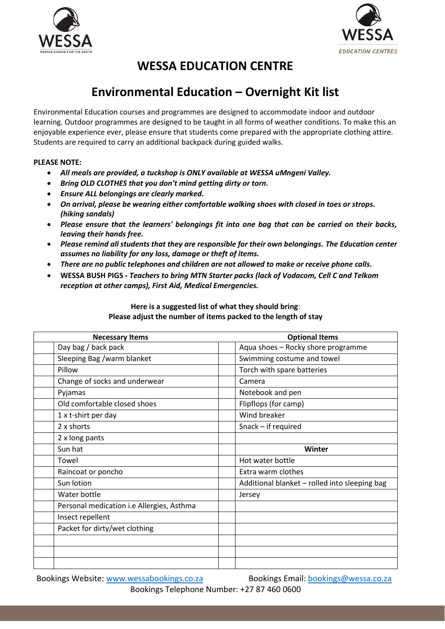



# **WESSA EDUCATION CENTRE**

# **Environmental Education – Overnight Kit list**

Environmental Education courses and programmes are designed to accommodate indoor and outdoor learning. Outdoor programmes are designed to be taught in all forms of weather conditions. To make this an enjoyable experience ever, please ensure that students come prepared with the appropriate clothing attire. Students are required to carry an additional backpack during guided walks.

## **PLEASE NOTE:**

- *All meals are provided, a tuckshop is ONLY available at WESSA uMngeni Valley.*
- *Bring OLD CLOTHES that you don't mind getting dirty or torn.*
- *Ensure ALL belongings are clearly marked.*
- *On arrival, please be wearing either comfortable walking shoes with closed in toes or strops. (hiking sandals)*
- *Please ensure that the learners' belongings fit into one bag that can be carried on their backs, leaving their hands free.*
- *Please remind all students that they are responsible for their own belongings. The Education center assumes no liability for any loss, damage or theft of items.*
- *There are no public telephones and children are not allowed to make or receive phone calls.*
- **WESSA BUSH PIGS -** *Teachers to bring MTN Starter packs (lack of Vodacom, Cell C and Telkom reception at other camps), First Aid, Medical Emergencies.*

| Here is a suggested list of what they should bring:            |  |
|----------------------------------------------------------------|--|
| Please adjust the number of items packed to the length of stay |  |

| <b>Necessary Items</b> |                                           | <b>Optional Items</b>                         |  |
|------------------------|-------------------------------------------|-----------------------------------------------|--|
|                        | Day bag / back pack                       | Aqua shoes - Rocky shore programme            |  |
|                        | Sleeping Bag /warm blanket                | Swimming costume and towel                    |  |
| Pillow                 |                                           | Torch with spare batteries                    |  |
|                        | Change of socks and underwear             | Camera                                        |  |
| Pyjamas                |                                           | Notebook and pen                              |  |
|                        | Old comfortable closed shoes              | Flipflops (for camp)                          |  |
|                        | 1 x t-shirt per day                       | Wind breaker                                  |  |
|                        | 2 x shorts                                | Snack - if required                           |  |
|                        | 2 x long pants                            |                                               |  |
| Sun hat                |                                           | Winter                                        |  |
| Towel                  |                                           | Hot water bottle                              |  |
|                        | Raincoat or poncho                        | Extra warm clothes                            |  |
|                        | Sun lotion                                | Additional blanket - rolled into sleeping bag |  |
|                        | Water bottle                              | Jersey                                        |  |
|                        | Personal medication i.e Allergies, Asthma |                                               |  |
|                        | Insect repellent                          |                                               |  |
|                        | Packet for dirty/wet clothing             |                                               |  |
|                        |                                           |                                               |  |
|                        |                                           |                                               |  |
|                        |                                           |                                               |  |